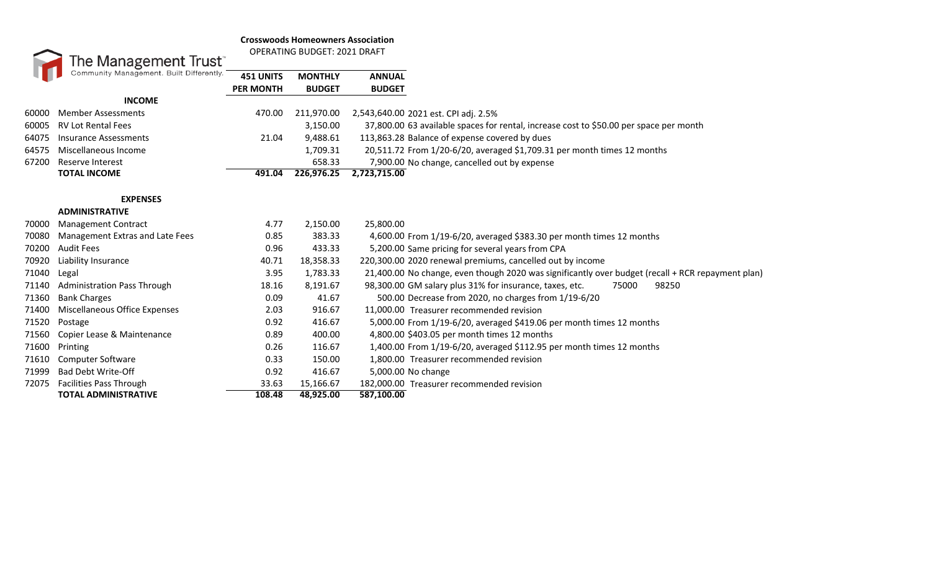## **Crosswoods Homeowners Association**



OPERATING BUDGET: 2021 DRAFT

|       | Community Management. Built Differently. | <b>451 UNITS</b><br><b>PER MONTH</b> | <b>MONTHLY</b><br><b>BUDGET</b> | <b>ANNUAL</b><br><b>BUDGET</b>                                                                    |
|-------|------------------------------------------|--------------------------------------|---------------------------------|---------------------------------------------------------------------------------------------------|
|       | <b>INCOME</b>                            |                                      |                                 |                                                                                                   |
| 60000 | <b>Member Assessments</b>                | 470.00                               | 211,970.00                      | 2,543,640.00 2021 est. CPI adj. 2.5%                                                              |
| 60005 | <b>RV Lot Rental Fees</b>                |                                      | 3,150.00                        | 37,800.00 63 available spaces for rental, increase cost to \$50.00 per space per month            |
| 64075 | <b>Insurance Assessments</b>             | 21.04                                | 9,488.61                        | 113,863.28 Balance of expense covered by dues                                                     |
| 64575 | Miscellaneous Income                     |                                      | 1,709.31                        | 20,511.72 From 1/20-6/20, averaged \$1,709.31 per month times 12 months                           |
| 67200 | Reserve Interest                         |                                      | 658.33                          | 7,900.00 No change, cancelled out by expense                                                      |
|       | <b>TOTAL INCOME</b>                      | 491.04                               | 226,976.25                      | 2,723,715.00                                                                                      |
|       | <b>EXPENSES</b>                          |                                      |                                 |                                                                                                   |
|       | <b>ADMINISTRATIVE</b>                    |                                      |                                 |                                                                                                   |
| 70000 | <b>Management Contract</b>               | 4.77                                 | 2,150.00                        | 25,800.00                                                                                         |
| 70080 | Management Extras and Late Fees          | 0.85                                 | 383.33                          | 4,600.00 From 1/19-6/20, averaged \$383.30 per month times 12 months                              |
| 70200 | <b>Audit Fees</b>                        | 0.96                                 | 433.33                          | 5,200.00 Same pricing for several years from CPA                                                  |
| 70920 | Liability Insurance                      | 40.71                                | 18,358.33                       | 220,300.00 2020 renewal premiums, cancelled out by income                                         |
| 71040 | Legal                                    | 3.95                                 | 1,783.33                        | 21,400.00 No change, even though 2020 was significantly over budget (recall + RCR repayment plan) |
| 71140 | <b>Administration Pass Through</b>       | 18.16                                | 8,191.67                        | 98,300.00 GM salary plus 31% for insurance, taxes, etc.<br>75000<br>98250                         |
| 71360 | <b>Bank Charges</b>                      | 0.09                                 | 41.67                           | 500.00 Decrease from 2020, no charges from 1/19-6/20                                              |
| 71400 | Miscellaneous Office Expenses            | 2.03                                 | 916.67                          | 11,000.00 Treasurer recommended revision                                                          |
| 71520 | Postage                                  | 0.92                                 | 416.67                          | 5,000.00 From 1/19-6/20, averaged \$419.06 per month times 12 months                              |
| 71560 | Copier Lease & Maintenance               | 0.89                                 | 400.00                          | 4,800.00 \$403.05 per month times 12 months                                                       |
| 71600 | Printing                                 | 0.26                                 | 116.67                          | 1,400.00 From 1/19-6/20, averaged \$112.95 per month times 12 months                              |
| 71610 | <b>Computer Software</b>                 | 0.33                                 | 150.00                          | 1,800.00 Treasurer recommended revision                                                           |
| 71999 | <b>Bad Debt Write-Off</b>                | 0.92                                 | 416.67                          | 5,000.00 No change                                                                                |
| 72075 | <b>Facilities Pass Through</b>           | 33.63                                | 15,166.67                       | 182,000.00 Treasurer recommended revision                                                         |
|       | <b>TOTAL ADMINISTRATIVE</b>              | 108.48                               | 48,925.00                       | 587,100.00                                                                                        |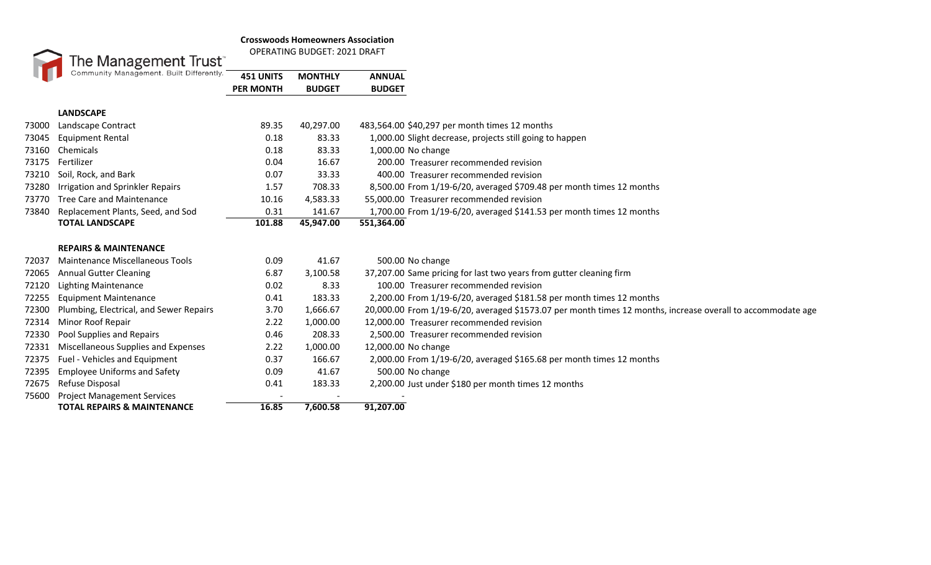## **Crosswoods Homeowners Association**



OPERATING BUDGET: 2021 DRAFT

|       | Community Management. Built Differently. | 451 UNITS        | <b>MONTHLY</b> | <b>ANNUAL</b>                                                                                               |
|-------|------------------------------------------|------------------|----------------|-------------------------------------------------------------------------------------------------------------|
|       |                                          | <b>PER MONTH</b> | <b>BUDGET</b>  | <b>BUDGET</b>                                                                                               |
|       | <b>LANDSCAPE</b>                         |                  |                |                                                                                                             |
| 73000 | Landscape Contract                       | 89.35            | 40,297.00      | 483,564.00 \$40,297 per month times 12 months                                                               |
| 73045 | <b>Equipment Rental</b>                  | 0.18             | 83.33          | 1,000.00 Slight decrease, projects still going to happen                                                    |
| 73160 | Chemicals                                | 0.18             | 83.33          | 1,000.00 No change                                                                                          |
| 73175 | Fertilizer                               | 0.04             | 16.67          | 200.00 Treasurer recommended revision                                                                       |
| 73210 | Soil, Rock, and Bark                     | 0.07             | 33.33          | 400.00 Treasurer recommended revision                                                                       |
| 73280 | Irrigation and Sprinkler Repairs         | 1.57             | 708.33         | 8,500.00 From 1/19-6/20, averaged \$709.48 per month times 12 months                                        |
| 73770 | <b>Tree Care and Maintenance</b>         | 10.16            | 4,583.33       | 55,000.00 Treasurer recommended revision                                                                    |
| 73840 | Replacement Plants, Seed, and Sod        | 0.31             | 141.67         | 1,700.00 From 1/19-6/20, averaged \$141.53 per month times 12 months                                        |
|       | <b>TOTAL LANDSCAPE</b>                   | 101.88           | 45,947.00      | 551,364.00                                                                                                  |
|       |                                          |                  |                |                                                                                                             |
|       | <b>REPAIRS &amp; MAINTENANCE</b>         |                  |                |                                                                                                             |
| 72037 | Maintenance Miscellaneous Tools          | 0.09             | 41.67          | 500.00 No change                                                                                            |
| 72065 | <b>Annual Gutter Cleaning</b>            | 6.87             | 3,100.58       | 37,207.00 Same pricing for last two years from gutter cleaning firm                                         |
| 72120 | <b>Lighting Maintenance</b>              | 0.02             | 8.33           | 100.00 Treasurer recommended revision                                                                       |
| 72255 | <b>Equipment Maintenance</b>             | 0.41             | 183.33         | 2,200.00 From 1/19-6/20, averaged \$181.58 per month times 12 months                                        |
| 72300 | Plumbing, Electrical, and Sewer Repairs  | 3.70             | 1,666.67       | 20,000.00 From 1/19-6/20, averaged \$1573.07 per month times 12 months, increase overall to accommodate age |
| 72314 | Minor Roof Repair                        | 2.22             | 1,000.00       | 12.000.00 Treasurer recommended revision                                                                    |
| 72330 | Pool Supplies and Repairs                | 0.46             | 208.33         | 2,500.00 Treasurer recommended revision                                                                     |
| 72331 | Miscellaneous Supplies and Expenses      | 2.22             | 1,000.00       | 12,000.00 No change                                                                                         |
| 72375 | Fuel - Vehicles and Equipment            | 0.37             | 166.67         | 2,000.00 From 1/19-6/20, averaged \$165.68 per month times 12 months                                        |
| 72395 | <b>Employee Uniforms and Safety</b>      | 0.09             | 41.67          | 500.00 No change                                                                                            |
| 72675 | Refuse Disposal                          | 0.41             | 183.33         | 2,200.00 Just under \$180 per month times 12 months                                                         |
| 75600 | <b>Project Management Services</b>       |                  |                |                                                                                                             |
|       | <b>TOTAL REPAIRS &amp; MAINTENANCE</b>   | 16.85            | 7,600.58       | 91,207.00                                                                                                   |